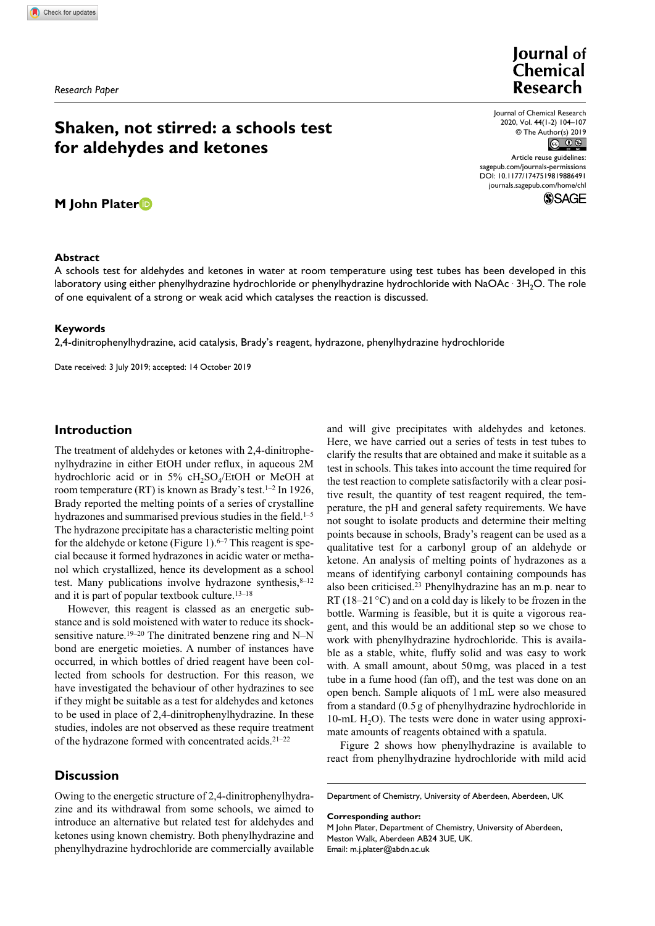*Research Paper*

# **Shaken, not stirred: a schools test for aldehydes and ketones**

**M John Plater**

# **Abstract**

Journal of Chemical **Research** 

Journal of Chemical Research 2020, Vol. 44(1-2) 104–107 © The Author(s) 2019  $\circledcirc$   $\circledcirc$ 

https://doi.org/10.1177/1747519819886491 DOI: 10.1177/1747519819886491 Article reuse guidelines: [sagepub.com/journals-permissions](https://uk.sagepub.com/en-gb/journals-permissions) [journals.sagepub.com/home/chl](https://journals.sagepub.com/home/chl)

**SSAGE** 

A schools test for aldehydes and ketones in water at room temperature using test tubes has been developed in this laboratory using either phenylhydrazine hydrochloride or phenylhydrazine hydrochloride with NaOAc  $\cdot$  3H<sub>2</sub>O. The role of one equivalent of a strong or weak acid which catalyses the reaction is discussed.

### **Keywords**

2,4-dinitrophenylhydrazine, acid catalysis, Brady's reagent, hydrazone, phenylhydrazine hydrochloride

Date received: 3 July 2019; accepted: 14 October 2019

# **Introduction**

The treatment of aldehydes or ketones with 2,4-dinitrophenylhydrazine in either EtOH under reflux, in aqueous 2M hydrochloric acid or in  $5\%$  cH<sub>2</sub>SO<sub>4</sub>/EtOH or MeOH at room temperature (RT) is known as Brady's test.<sup>1-2</sup> In 1926, Brady reported the melting points of a series of crystalline hydrazones and summarised previous studies in the field.<sup>1-5</sup> The hydrazone precipitate has a characteristic melting point for the aldehyde or ketone (Figure 1). $6-7$  This reagent is special because it formed hydrazones in acidic water or methanol which crystallized, hence its development as a school test. Many publications involve hydrazone synthesis, $8-12$ and it is part of popular textbook culture.13–18

However, this reagent is classed as an energetic substance and is sold moistened with water to reduce its shocksensitive nature.<sup>19–20</sup> The dinitrated benzene ring and N–N bond are energetic moieties. A number of instances have occurred, in which bottles of dried reagent have been collected from schools for destruction. For this reason, we have investigated the behaviour of other hydrazines to see if they might be suitable as a test for aldehydes and ketones to be used in place of 2,4-dinitrophenylhydrazine. In these studies, indoles are not observed as these require treatment of the hydrazone formed with concentrated acids.21–22

**Discussion**

Owing to the energetic structure of 2,4-dinitrophenylhydrazine and its withdrawal from some schools, we aimed to introduce an alternative but related test for aldehydes and ketones using known chemistry. Both phenylhydrazine and phenylhydrazine hydrochloride are commercially available

and will give precipitates with aldehydes and ketones. Here, we have carried out a series of tests in test tubes to clarify the results that are obtained and make it suitable as a test in schools. This takes into account the time required for the test reaction to complete satisfactorily with a clear positive result, the quantity of test reagent required, the temperature, the pH and general safety requirements. We have not sought to isolate products and determine their melting points because in schools, Brady's reagent can be used as a qualitative test for a carbonyl group of an aldehyde or ketone. An analysis of melting points of hydrazones as a means of identifying carbonyl containing compounds has also been criticised.23 Phenylhydrazine has an m.p. near to RT (18–21 $\degree$ C) and on a cold day is likely to be frozen in the bottle. Warming is feasible, but it is quite a vigorous reagent, and this would be an additional step so we chose to work with phenylhydrazine hydrochloride. This is available as a stable, white, fluffy solid and was easy to work with. A small amount, about 50mg, was placed in a test tube in a fume hood (fan off), and the test was done on an open bench. Sample aliquots of 1mL were also measured from a standard (0.5 g of phenylhydrazine hydrochloride in  $10\text{-mL H}_2$ O). The tests were done in water using approximate amounts of reagents obtained with a spatula.

Figure 2 shows how phenylhydrazine is available to react from phenylhydrazine hydrochloride with mild acid

Department of Chemistry, University of Aberdeen, Aberdeen, UK

**Corresponding author:**

M John Plater, Department of Chemistry, University of Aberdeen, Meston Walk, Aberdeen AB24 3UE, UK. Email: [m.j.plater@abdn.ac.uk](mailto:m.j.plater@abdn.ac.uk)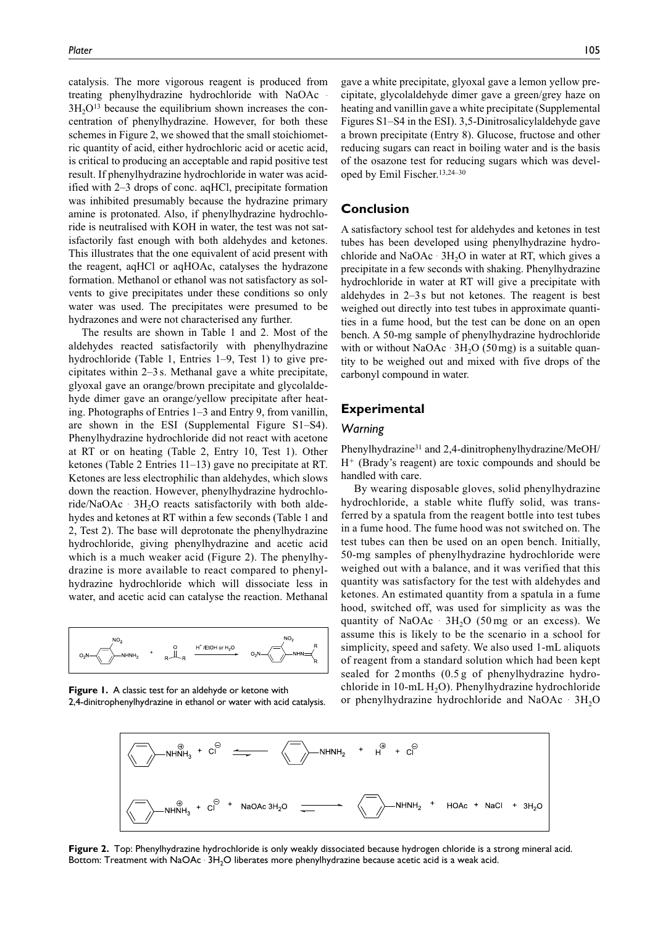catalysis. The more vigorous reagent is produced from treating phenylhydrazine hydrochloride with NaOAc .  $3H<sub>2</sub>O<sup>13</sup>$  because the equilibrium shown increases the concentration of phenylhydrazine. However, for both these schemes in Figure 2, we showed that the small stoichiometric quantity of acid, either hydrochloric acid or acetic acid, is critical to producing an acceptable and rapid positive test result. If phenylhydrazine hydrochloride in water was acidified with 2–3 drops of conc. aqHCl, precipitate formation was inhibited presumably because the hydrazine primary amine is protonated. Also, if phenylhydrazine hydrochloride is neutralised with KOH in water, the test was not satisfactorily fast enough with both aldehydes and ketones. This illustrates that the one equivalent of acid present with the reagent, aqHCl or aqHOAc, catalyses the hydrazone formation. Methanol or ethanol was not satisfactory as solvents to give precipitates under these conditions so only water was used. The precipitates were presumed to be hydrazones and were not characterised any further.

The results are shown in Table 1 and 2. Most of the aldehydes reacted satisfactorily with phenylhydrazine hydrochloride (Table 1, Entries 1–9, Test 1) to give precipitates within 2–3 s. Methanal gave a white precipitate, glyoxal gave an orange/brown precipitate and glycolaldehyde dimer gave an orange/yellow precipitate after heating. Photographs of Entries 1–3 and Entry 9, from vanillin, are shown in the ESI [\(Supplemental Figure S1–S4](https://journals.sagepub.com/doi/suppl/10.1177/1747519819886491)). Phenylhydrazine hydrochloride did not react with acetone at RT or on heating (Table 2, Entry 10, Test 1). Other ketones (Table 2 Entries 11–13) gave no precipitate at RT. Ketones are less electrophilic than aldehydes, which slows down the reaction. However, phenylhydrazine hydrochloride/NaOAc · 3H<sub>2</sub>O reacts satisfactorily with both aldehydes and ketones at RT within a few seconds (Table 1 and 2, Test 2). The base will deprotonate the phenylhydrazine hydrochloride, giving phenylhydrazine and acetic acid which is a much weaker acid (Figure 2). The phenylhydrazine is more available to react compared to phenylhydrazine hydrochloride which will dissociate less in water, and acetic acid can catalyse the reaction. Methanal



**Figure 1.** A classic test for an aldehyde or ketone with 2,4-dinitrophenylhydrazine in ethanol or water with acid catalysis.

gave a white precipitate, glyoxal gave a lemon yellow precipitate, glycolaldehyde dimer gave a green/grey haze on heating and vanillin gave a white precipitate [\(Supplemental](https://journals.sagepub.com/doi/suppl/10.1177/1747519819886491)  [Figures S1–S4](https://journals.sagepub.com/doi/suppl/10.1177/1747519819886491) in the ESI). 3,5-Dinitrosalicylaldehyde gave a brown precipitate (Entry 8). Glucose, fructose and other reducing sugars can react in boiling water and is the basis of the osazone test for reducing sugars which was developed by Emil Fischer.13,24–30

## **Conclusion**

A satisfactory school test for aldehydes and ketones in test tubes has been developed using phenylhydrazine hydrochloride and NaOAc  $\cdot$  3H<sub>2</sub>O in water at RT, which gives a precipitate in a few seconds with shaking. Phenylhydrazine hydrochloride in water at RT will give a precipitate with aldehydes in 2–3s but not ketones. The reagent is best weighed out directly into test tubes in approximate quantities in a fume hood, but the test can be done on an open bench. A 50-mg sample of phenylhydrazine hydrochloride with or without  $NaOAc \cdot 3H_2O$  (50 mg) is a suitable quantity to be weighed out and mixed with five drops of the carbonyl compound in water.

# **Experimental**

# *Warning*

Phenylhydrazine31 and 2,4-dinitrophenylhydrazine/MeOH/ H+ (Brady's reagent) are toxic compounds and should be handled with care.

By wearing disposable gloves, solid phenylhydrazine hydrochloride, a stable white fluffy solid, was transferred by a spatula from the reagent bottle into test tubes in a fume hood. The fume hood was not switched on. The test tubes can then be used on an open bench. Initially, 50-mg samples of phenylhydrazine hydrochloride were weighed out with a balance, and it was verified that this quantity was satisfactory for the test with aldehydes and ketones. An estimated quantity from a spatula in a fume hood, switched off, was used for simplicity as was the quantity of NaOAc  $\cdot$  3H<sub>2</sub>O (50 mg or an excess). We assume this is likely to be the scenario in a school for simplicity, speed and safety. We also used 1-mL aliquots of reagent from a standard solution which had been kept sealed for 2 months (0.5 g of phenylhydrazine hydrochloride in  $10$ -mL  $H<sub>2</sub>O$ ). Phenylhydrazine hydrochloride or phenylhydrazine hydrochloride and NaOAc  $\cdot$  3H<sub>2</sub>O



**Figure 2.** Top: Phenylhydrazine hydrochloride is only weakly dissociated because hydrogen chloride is a strong mineral acid. Bottom: Treatment with NaOAc  $\cdot$  3H<sub>2</sub>O liberates more phenylhydrazine because acetic acid is a weak acid.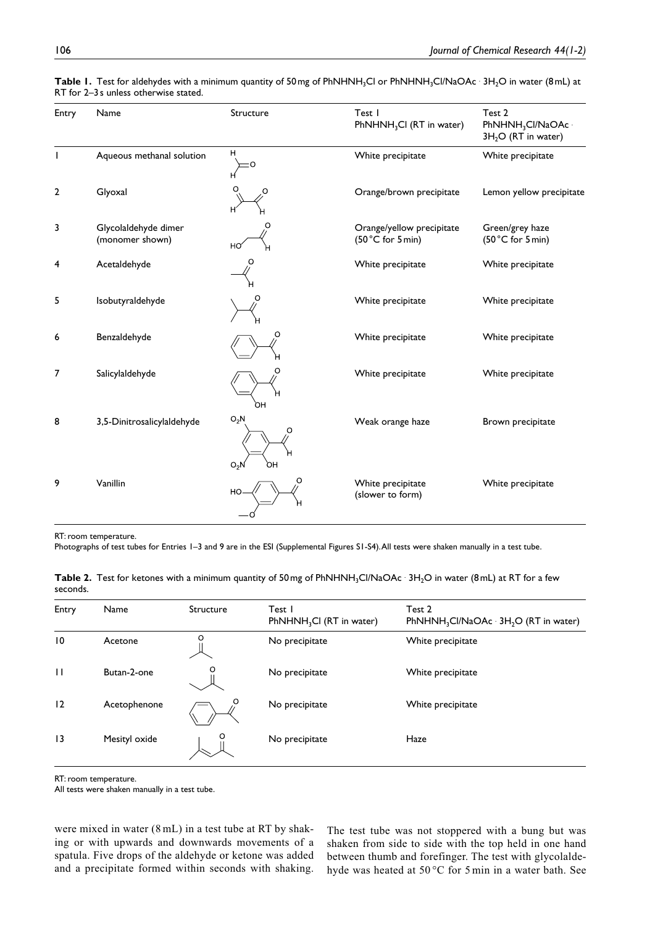| Entry          | Name                                    | Structure                         | Test I<br>PhNHNH <sub>3</sub> Cl (RT in water)      | Test 2<br>$PhNHNH3Cl/NaOAc1$<br>$3H2O$ (RT in water) |
|----------------|-----------------------------------------|-----------------------------------|-----------------------------------------------------|------------------------------------------------------|
|                | Aqueous methanal solution               | н                                 | White precipitate                                   | White precipitate                                    |
| $\overline{2}$ | Glyoxal                                 | O                                 | Orange/brown precipitate                            | Lemon yellow precipitate                             |
| 3              | Glycolaldehyde dimer<br>(monomer shown) | O<br>HO                           | Orange/yellow precipitate<br>$(50 °C)$ for $5 min)$ | Green/grey haze<br>$(50 °C)$ for 5 min)              |
| 4              | Acetaldehyde                            | Ο                                 | White precipitate                                   | White precipitate                                    |
| 5              | Isobutyraldehyde                        |                                   | White precipitate                                   | White precipitate                                    |
| 6              | Benzaldehyde                            | O                                 | White precipitate                                   | White precipitate                                    |
| 7              | Salicylaldehyde                         | O<br>OН                           | White precipitate                                   | White precipitate                                    |
| 8              | 3,5-Dinitrosalicylaldehyde              | $O_2N$<br>$\circ$<br>$O_2N$<br>ρн | Weak orange haze                                    | Brown precipitate                                    |
| 9              | Vanillin                                | O<br>HO-                          | White precipitate<br>(slower to form)               | White precipitate                                    |

**Table 1.** Test for aldehydes with a minimum quantity of 50 mg of PhNHNH<sub>3</sub>Cl or PhNHNH<sub>3</sub>Cl/NaOAc  $\cdot$  3H<sub>2</sub>O in water (8 mL) at RT for 2–3s unless otherwise stated.

RT: room temperature.

Photographs of test tubes for Entries 1–3 and 9 are in the ESI ([Supplemental Figures S1-S4\)](https://journals.sagepub.com/doi/suppl/10.1177/1747519819886491). All tests were shaken manually in a test tube.

|          | Table 2. Test for ketones with a minimum quantity of 50mg of PhNHNH <sub>3</sub> CI/NaOAc · 3H <sub>2</sub> O in water (8mL) at RT for a few |  |  |  |  |
|----------|----------------------------------------------------------------------------------------------------------------------------------------------|--|--|--|--|
| seconds. |                                                                                                                                              |  |  |  |  |

| Entry        | Name          | Structure | Test I<br>PhNHNH <sub>3</sub> CI (RT in water) | Test 2<br>PhNHNH <sub>3</sub> Cl/NaOAc 3H <sub>2</sub> O (RT in water) |
|--------------|---------------|-----------|------------------------------------------------|------------------------------------------------------------------------|
| 10           | Acetone       | O         | No precipitate                                 | White precipitate                                                      |
| $\mathbf{H}$ | Butan-2-one   | O         | No precipitate                                 | White precipitate                                                      |
| 12           | Acetophenone  | O         | No precipitate                                 | White precipitate                                                      |
| 13           | Mesityl oxide | O         | No precipitate                                 | Haze                                                                   |

RT: room temperature.

All tests were shaken manually in a test tube.

were mixed in water (8 mL) in a test tube at RT by shaking or with upwards and downwards movements of a spatula. Five drops of the aldehyde or ketone was added and a precipitate formed within seconds with shaking.

The test tube was not stoppered with a bung but was shaken from side to side with the top held in one hand between thumb and forefinger. The test with glycolaldehyde was heated at 50 °C for 5 min in a water bath. See